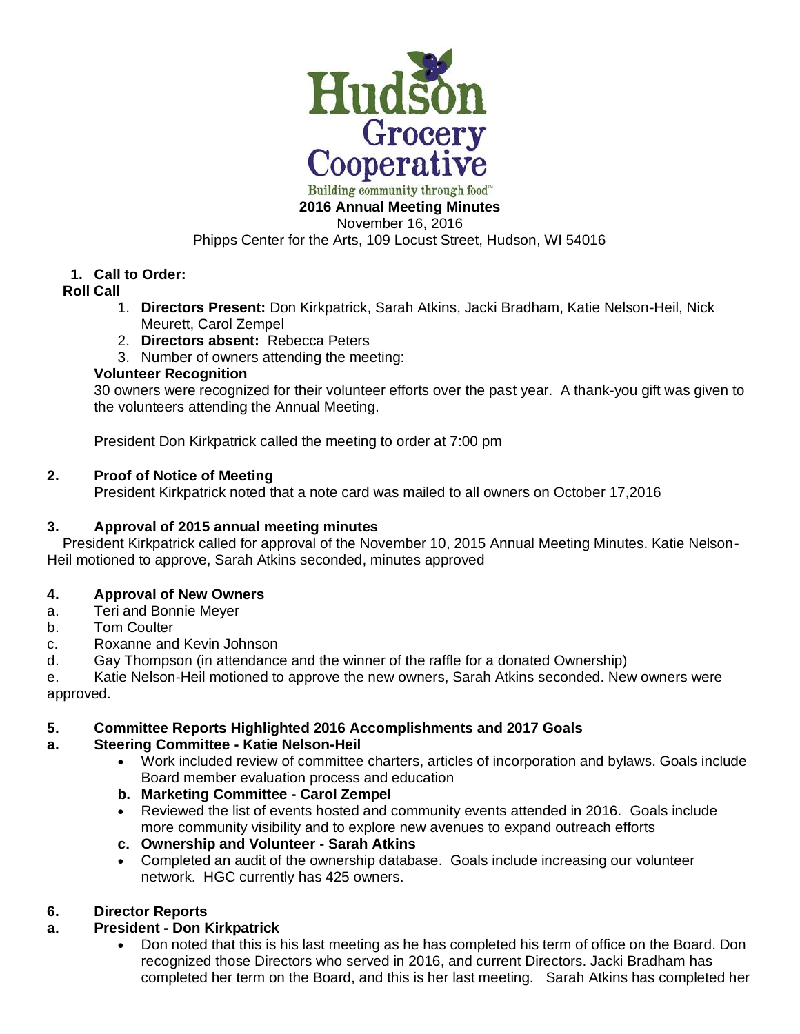

Building community through food" **2016 Annual Meeting Minutes**

November 16, 2016

Phipps Center for the Arts, 109 Locust Street, Hudson, WI 54016

# **1. Call to Order:**

## **Roll Call**

- 1. **Directors Present:** Don Kirkpatrick, Sarah Atkins, Jacki Bradham, Katie Nelson-Heil, Nick Meurett, Carol Zempel
- 2. **Directors absent:** Rebecca Peters
- 3. Number of owners attending the meeting:

## **Volunteer Recognition**

30 owners were recognized for their volunteer efforts over the past year. A thank-you gift was given to the volunteers attending the Annual Meeting.

President Don Kirkpatrick called the meeting to order at 7:00 pm

## **2. Proof of Notice of Meeting**

President Kirkpatrick noted that a note card was mailed to all owners on October 17,2016

## **3. Approval of 2015 annual meeting minutes**

 President Kirkpatrick called for approval of the November 10, 2015 Annual Meeting Minutes. Katie Nelson-Heil motioned to approve, Sarah Atkins seconded, minutes approved

## **4. Approval of New Owners**

- a. Teri and Bonnie Meyer
- b. Tom Coulter
- c. Roxanne and Kevin Johnson
- d. Gay Thompson (in attendance and the winner of the raffle for a donated Ownership)

e. Katie Nelson-Heil motioned to approve the new owners, Sarah Atkins seconded. New owners were approved.

## **5. Committee Reports Highlighted 2016 Accomplishments and 2017 Goals**

#### **a. Steering Committee - Katie Nelson-Heil**

- Work included review of committee charters, articles of incorporation and bylaws. Goals include Board member evaluation process and education
- **b. Marketing Committee - Carol Zempel**
- Reviewed the list of events hosted and community events attended in 2016. Goals include more community visibility and to explore new avenues to expand outreach efforts
- **c. Ownership and Volunteer - Sarah Atkins**
- Completed an audit of the ownership database. Goals include increasing our volunteer network. HGC currently has 425 owners.

## **6. Director Reports**

## **a. President - Don Kirkpatrick**

• Don noted that this is his last meeting as he has completed his term of office on the Board. Don recognized those Directors who served in 2016, and current Directors. Jacki Bradham has completed her term on the Board, and this is her last meeting. Sarah Atkins has completed her